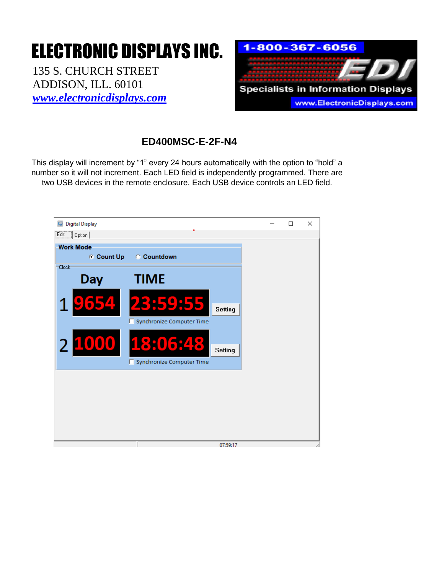## ELECTRONIC DISPLAYS INC.

135 S. CHURCH STREET ADDISON, ILL. 60101 *[www.electronicdisplays.com](http://www.electronicdisplays.com/)*



## **ED400MSC-E-2F-N4**

This display will increment by "1" every 24 hours automatically with the option to "hold" a number so it will not increment. Each LED field is independently programmed. There are two USB devices in the remote enclosure. Each USB device controls an LED field.